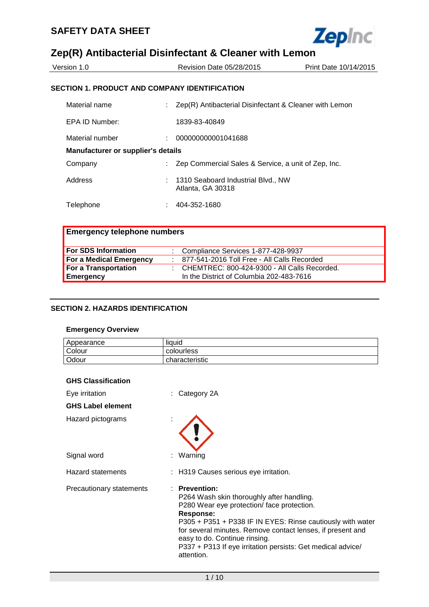

| Version 1.0     | Revision Date 05/28/2015                               | Print Date 10/14/2015 |
|-----------------|--------------------------------------------------------|-----------------------|
|                 | SECTION 1. PRODUCT AND COMPANY IDENTIFICATION          |                       |
| Material name   | Zep(R) Antibacterial Disinfectant & Cleaner with Lemon |                       |
| EPA ID Number:  | 1839-83-40849                                          |                       |
| Material number | 000000000001041688                                     |                       |

| Manufacturer or supplier's details |  |                                                           |
|------------------------------------|--|-----------------------------------------------------------|
| Company                            |  | : Zep Commercial Sales & Service, a unit of Zep, Inc.     |
| Address                            |  | : 1310 Seaboard Industrial Blvd., NW<br>Atlanta, GA 30318 |
| Telephone                          |  | 404-352-1680                                              |

| <b>Emergency telephone numbers</b> |                                                           |
|------------------------------------|-----------------------------------------------------------|
| <b>For SDS Information</b>         | : Compliance Services 1-877-428-9937                      |
| For a Medical Emergency            | : 877-541-2016 Toll Free - All Calls Recorded             |
| For a Transportation               | $\therefore$ CHEMTREC: 800-424-9300 - All Calls Recorded. |
| Emergency                          | In the District of Columbia 202-483-7616                  |

#### **SECTION 2. HAZARDS IDENTIFICATION**

#### **Emergency Overview**

| Appearance | liquid         |
|------------|----------------|
| Colour     | colourless     |
| Odour      | characteristic |

|  | <b>GHS Classification</b> |
|--|---------------------------|
|--|---------------------------|

| Eye irritation           | $:$ Category 2A                                                                                                                                                                                                                                                                                                                                                  |
|--------------------------|------------------------------------------------------------------------------------------------------------------------------------------------------------------------------------------------------------------------------------------------------------------------------------------------------------------------------------------------------------------|
| <b>GHS Label element</b> |                                                                                                                                                                                                                                                                                                                                                                  |
| Hazard pictograms        |                                                                                                                                                                                                                                                                                                                                                                  |
| Signal word              | : Warning                                                                                                                                                                                                                                                                                                                                                        |
| <b>Hazard statements</b> | : H319 Causes serious eye irritation.                                                                                                                                                                                                                                                                                                                            |
| Precautionary statements | $:$ Prevention:<br>P264 Wash skin thoroughly after handling.<br>P280 Wear eye protection/face protection.<br>Response:<br>P305 + P351 + P338 IF IN EYES: Rinse cautiously with water<br>for several minutes. Remove contact lenses, if present and<br>easy to do. Continue rinsing.<br>P337 + P313 If eye irritation persists: Get medical advice/<br>attention. |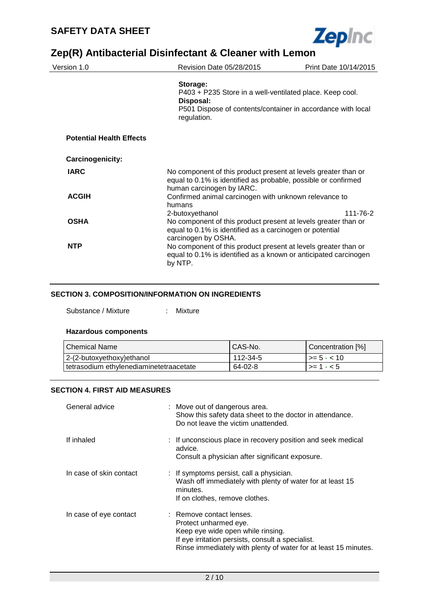

| Version 1.0                     | Revision Date 05/28/2015                                                                                                                                             | Print Date 10/14/2015 |
|---------------------------------|----------------------------------------------------------------------------------------------------------------------------------------------------------------------|-----------------------|
|                                 | Storage:<br>P403 + P235 Store in a well-ventilated place. Keep cool.<br>Disposal:<br>P501 Dispose of contents/container in accordance with local<br>regulation.      |                       |
| <b>Potential Health Effects</b> |                                                                                                                                                                      |                       |
| Carcinogenicity:                |                                                                                                                                                                      |                       |
| <b>IARC</b>                     | No component of this product present at levels greater than or<br>equal to 0.1% is identified as probable, possible or confirmed<br>human carcinogen by IARC.        |                       |
| <b>ACGIH</b>                    | Confirmed animal carcinogen with unknown relevance to<br>humans                                                                                                      |                       |
| <b>OSHA</b>                     | 2-butoxyethanol<br>No component of this product present at levels greater than or<br>equal to 0.1% is identified as a carcinogen or potential<br>carcinogen by OSHA. | 111-76-2              |
| <b>NTP</b>                      | No component of this product present at levels greater than or<br>equal to 0.1% is identified as a known or anticipated carcinogen<br>by NTP.                        |                       |

#### **SECTION 3. COMPOSITION/INFORMATION ON INGREDIENTS**

Substance / Mixture : Mixture

#### **Hazardous components**

| ⊥Chemical Name                            | CAS-No.  | Concentration [%] |
|-------------------------------------------|----------|-------------------|
| 2-(2-butoxyethoxy)ethanol                 | 112-34-5 | $\ge$ = 5 - < 10  |
| l tetrasodium ethvlenediaminetetraacetate | 64-02-8  | l >= 1 - < 5      |

#### **SECTION 4. FIRST AID MEASURES**

| General advice          | : Move out of dangerous area.<br>Show this safety data sheet to the doctor in attendance.<br>Do not leave the victim unattended.                                                                               |
|-------------------------|----------------------------------------------------------------------------------------------------------------------------------------------------------------------------------------------------------------|
| If inhaled              | : If unconscious place in recovery position and seek medical<br>advice.<br>Consult a physician after significant exposure.                                                                                     |
| In case of skin contact | : If symptoms persist, call a physician.<br>Wash off immediately with plenty of water for at least 15<br>minutes.<br>If on clothes, remove clothes.                                                            |
| In case of eye contact  | : Remove contact lenses.<br>Protect unharmed eye.<br>Keep eye wide open while rinsing.<br>If eye irritation persists, consult a specialist.<br>Rinse immediately with plenty of water for at least 15 minutes. |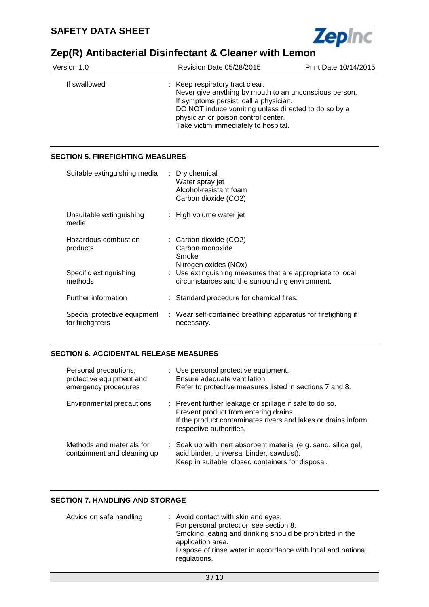

| Version 1.0  | Revision Date 05/28/2015                                                                                                                                                                                                                                                   | Print Date 10/14/2015 |  |
|--------------|----------------------------------------------------------------------------------------------------------------------------------------------------------------------------------------------------------------------------------------------------------------------------|-----------------------|--|
| If swallowed | : Keep respiratory tract clear.<br>Never give anything by mouth to an unconscious person.<br>If symptoms persist, call a physician.<br>DO NOT induce vomiting unless directed to do so by a<br>physician or poison control center.<br>Take victim immediately to hospital. |                       |  |

#### **SECTION 5. FIREFIGHTING MEASURES**

| Suitable extinguishing media                     | : Dry chemical<br>Water spray jet<br>Alcohol-resistant foam<br>Carbon dioxide (CO2)                          |
|--------------------------------------------------|--------------------------------------------------------------------------------------------------------------|
| Unsuitable extinguishing<br>media                | : High volume water jet                                                                                      |
| Hazardous combustion<br>products                 | : Carbon dioxide (CO2)<br>Carbon monoxide<br>Smoke<br>Nitrogen oxides (NOx)                                  |
| Specific extinguishing<br>methods                | : Use extinguishing measures that are appropriate to local<br>circumstances and the surrounding environment. |
| Further information                              | : Standard procedure for chemical fires.                                                                     |
| Special protective equipment<br>for firefighters | : Wear self-contained breathing apparatus for firefighting if<br>necessary.                                  |

#### **SECTION 6. ACCIDENTAL RELEASE MEASURES**

| Personal precautions,<br>protective equipment and<br>emergency procedures | : Use personal protective equipment.<br>Ensure adequate ventilation.<br>Refer to protective measures listed in sections 7 and 8.                                                                        |
|---------------------------------------------------------------------------|---------------------------------------------------------------------------------------------------------------------------------------------------------------------------------------------------------|
| Environmental precautions                                                 | $\therefore$ Prevent further leakage or spillage if safe to do so.<br>Prevent product from entering drains.<br>If the product contaminates rivers and lakes or drains inform<br>respective authorities. |
| Methods and materials for<br>containment and cleaning up                  | : Soak up with inert absorbent material (e.g. sand, silica gel,<br>acid binder, universal binder, sawdust).<br>Keep in suitable, closed containers for disposal.                                        |

#### **SECTION 7. HANDLING AND STORAGE**

| Advice on safe handling | : Avoid contact with skin and eyes.                          |
|-------------------------|--------------------------------------------------------------|
|                         | For personal protection see section 8.                       |
|                         | Smoking, eating and drinking should be prohibited in the     |
|                         | application area.                                            |
|                         | Dispose of rinse water in accordance with local and national |
|                         | regulations.                                                 |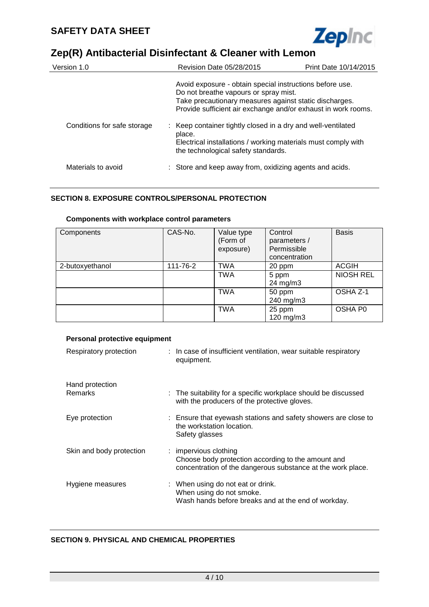

| Version 1.0                 | Revision Date 05/28/2015                                                                                                                                                                                                     | Print Date 10/14/2015 |
|-----------------------------|------------------------------------------------------------------------------------------------------------------------------------------------------------------------------------------------------------------------------|-----------------------|
|                             | Avoid exposure - obtain special instructions before use.<br>Do not breathe vapours or spray mist.<br>Take precautionary measures against static discharges.<br>Provide sufficient air exchange and/or exhaust in work rooms. |                       |
| Conditions for safe storage | : Keep container tightly closed in a dry and well-ventilated<br>place.<br>Electrical installations / working materials must comply with<br>the technological safety standards.                                               |                       |
| Materials to avoid          | : Store and keep away from, oxidizing agents and acids.                                                                                                                                                                      |                       |

#### **SECTION 8. EXPOSURE CONTROLS/PERSONAL PROTECTION**

### **Components with workplace control parameters**

| Components      | CAS-No.  | Value type<br>(Form of<br>exposure) | Control<br>parameters /<br>Permissible<br>concentration | <b>Basis</b>     |
|-----------------|----------|-------------------------------------|---------------------------------------------------------|------------------|
| 2-butoxyethanol | 111-76-2 | <b>TWA</b>                          | 20 ppm                                                  | <b>ACGIH</b>     |
|                 |          | <b>TWA</b>                          | 5 ppm<br>$24 \text{ mg/m}$ 3                            | <b>NIOSH REL</b> |
|                 |          | <b>TWA</b>                          | 50 ppm<br>240 mg/m3                                     | OSHA Z-1         |
|                 |          | <b>TWA</b>                          | 25 ppm<br>$120$ mg/m $3$                                | OSHA P0          |

#### **Personal protective equipment**

| Respiratory protection            | : In case of insufficient ventilation, wear suitable respiratory<br>equipment.                                                             |
|-----------------------------------|--------------------------------------------------------------------------------------------------------------------------------------------|
| Hand protection<br><b>Remarks</b> | : The suitability for a specific workplace should be discussed<br>with the producers of the protective gloves.                             |
| Eye protection                    | : Ensure that eyewash stations and safety showers are close to<br>the workstation location.<br>Safety glasses                              |
| Skin and body protection          | : impervious clothing<br>Choose body protection according to the amount and<br>concentration of the dangerous substance at the work place. |
| Hygiene measures                  | : When using do not eat or drink.<br>When using do not smoke.<br>Wash hands before breaks and at the end of workday.                       |

#### **SECTION 9. PHYSICAL AND CHEMICAL PROPERTIES**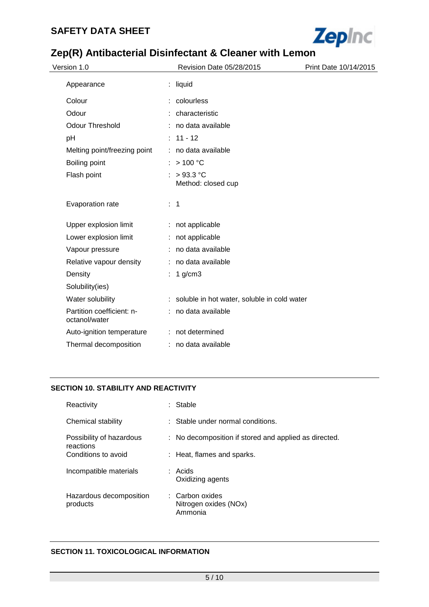### **SAFETY DATA SHEET**



# **Zep(R) Antibacterial Disinfectant & Cleaner with Lemon**

| Version 1.0                                | Revision Date 05/28/2015                      | Print Date 10/14/2015 |
|--------------------------------------------|-----------------------------------------------|-----------------------|
| Appearance                                 | $:$ liquid                                    |                       |
| Colour                                     | : colourless                                  |                       |
| Odour                                      | : characteristic                              |                       |
| <b>Odour Threshold</b>                     | no data available                             |                       |
| pH                                         | $: 11 - 12$                                   |                       |
| Melting point/freezing point               | : no data available                           |                       |
| Boiling point                              | : $> 100 °C$                                  |                       |
| Flash point                                | $>93.3$ °C<br>Method: closed cup              |                       |
| Evaporation rate                           | $\therefore$ 1                                |                       |
| Upper explosion limit                      | : not applicable                              |                       |
| Lower explosion limit                      | : not applicable                              |                       |
| Vapour pressure                            | : no data available                           |                       |
| Relative vapour density                    | : no data available                           |                       |
| Density                                    | $1$ g/cm $3$                                  |                       |
| Solubility(ies)                            |                                               |                       |
| Water solubility                           | : soluble in hot water, soluble in cold water |                       |
| Partition coefficient: n-<br>octanol/water | : no data available                           |                       |
| Auto-ignition temperature                  | : not determined                              |                       |
| Thermal decomposition                      | : no data available                           |                       |

#### **SECTION 10. STABILITY AND REACTIVITY**

| Reactivity                            | : Stable                                              |
|---------------------------------------|-------------------------------------------------------|
| Chemical stability                    | $\therefore$ Stable under normal conditions.          |
| Possibility of hazardous<br>reactions | : No decomposition if stored and applied as directed. |
| Conditions to avoid                   | : Heat, flames and sparks.                            |
| Incompatible materials                | : Acids<br>Oxidizing agents                           |
| Hazardous decomposition<br>products   | : Carbon oxides<br>Nitrogen oxides (NOx)<br>Ammonia   |

#### **SECTION 11. TOXICOLOGICAL INFORMATION**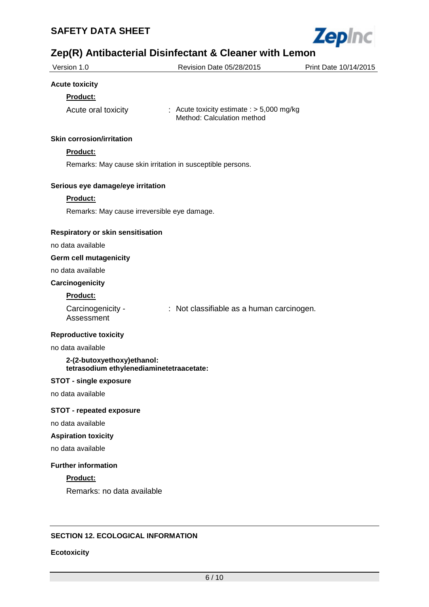

| Version 1.0                                                            | Revision Date 05/28/2015                                                  | Print Date 10/14/2015 |
|------------------------------------------------------------------------|---------------------------------------------------------------------------|-----------------------|
| <b>Acute toxicity</b>                                                  |                                                                           |                       |
| Product:                                                               |                                                                           |                       |
| Acute oral toxicity                                                    | : Acute toxicity estimate : $> 5,000$ mg/kg<br>Method: Calculation method |                       |
| <b>Skin corrosion/irritation</b>                                       |                                                                           |                       |
| <b>Product:</b>                                                        |                                                                           |                       |
| Remarks: May cause skin irritation in susceptible persons.             |                                                                           |                       |
|                                                                        |                                                                           |                       |
| Serious eye damage/eye irritation                                      |                                                                           |                       |
| Product:                                                               |                                                                           |                       |
| Remarks: May cause irreversible eye damage.                            |                                                                           |                       |
| <b>Respiratory or skin sensitisation</b>                               |                                                                           |                       |
| no data available                                                      |                                                                           |                       |
| <b>Germ cell mutagenicity</b>                                          |                                                                           |                       |
| no data available                                                      |                                                                           |                       |
| Carcinogenicity                                                        |                                                                           |                       |
| Product:                                                               |                                                                           |                       |
| Carcinogenicity -<br>Assessment                                        | : Not classifiable as a human carcinogen.                                 |                       |
| <b>Reproductive toxicity</b>                                           |                                                                           |                       |
| no data available                                                      |                                                                           |                       |
| 2-(2-butoxyethoxy)ethanol:<br>tetrasodium ethylenediaminetetraacetate: |                                                                           |                       |
| <b>STOT - single exposure</b>                                          |                                                                           |                       |
| no data available                                                      |                                                                           |                       |
| <b>STOT - repeated exposure</b>                                        |                                                                           |                       |
| no data available                                                      |                                                                           |                       |
| <b>Aspiration toxicity</b>                                             |                                                                           |                       |
| no data available                                                      |                                                                           |                       |
| <b>Further information</b>                                             |                                                                           |                       |
| Product:                                                               |                                                                           |                       |
| Remarks: no data available                                             |                                                                           |                       |
| <b>SECTION 12. ECOLOGICAL INFORMATION</b>                              |                                                                           |                       |
|                                                                        |                                                                           |                       |
| <b>Ecotoxicity</b>                                                     |                                                                           |                       |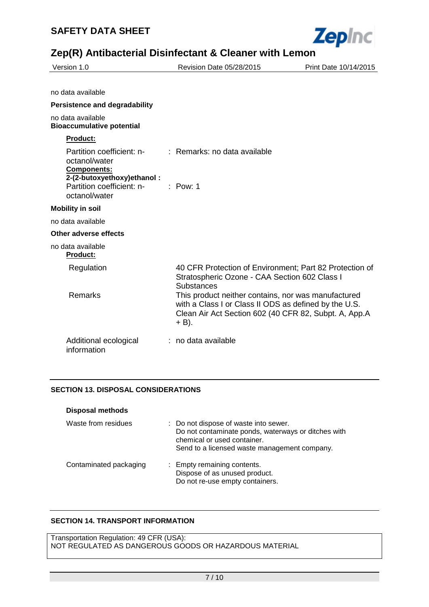

| Version 1.0                                                                                    | Revision Date 05/28/2015                                                                                                                                                          | Print Date 10/14/2015 |
|------------------------------------------------------------------------------------------------|-----------------------------------------------------------------------------------------------------------------------------------------------------------------------------------|-----------------------|
|                                                                                                |                                                                                                                                                                                   |                       |
| no data available                                                                              |                                                                                                                                                                                   |                       |
| <b>Persistence and degradability</b>                                                           |                                                                                                                                                                                   |                       |
| no data available<br><b>Bioaccumulative potential</b>                                          |                                                                                                                                                                                   |                       |
| <b>Product:</b>                                                                                |                                                                                                                                                                                   |                       |
| Partition coefficient: n-<br>octanol/water<br><b>Components:</b><br>2-(2-butoxyethoxy)ethanol: | : Remarks: no data available                                                                                                                                                      |                       |
| Partition coefficient: n-<br>octanol/water                                                     | $:$ Pow: 1                                                                                                                                                                        |                       |
| <b>Mobility in soil</b>                                                                        |                                                                                                                                                                                   |                       |
| no data available                                                                              |                                                                                                                                                                                   |                       |
| Other adverse effects                                                                          |                                                                                                                                                                                   |                       |
| no data available<br><b>Product:</b>                                                           |                                                                                                                                                                                   |                       |
| Regulation                                                                                     | 40 CFR Protection of Environment; Part 82 Protection of<br>Stratospheric Ozone - CAA Section 602 Class I<br><b>Substances</b>                                                     |                       |
| Remarks                                                                                        | This product neither contains, nor was manufactured<br>with a Class I or Class II ODS as defined by the U.S.<br>Clean Air Act Section 602 (40 CFR 82, Subpt. A, App.A<br>$+ B$ ). |                       |
| Additional ecological<br>information                                                           | : no data available                                                                                                                                                               |                       |

#### **SECTION 13. DISPOSAL CONSIDERATIONS**

| <b>Disposal methods</b> |                                                                                                                                                                             |
|-------------------------|-----------------------------------------------------------------------------------------------------------------------------------------------------------------------------|
| Waste from residues     | : Do not dispose of waste into sewer.<br>Do not contaminate ponds, waterways or ditches with<br>chemical or used container.<br>Send to a licensed waste management company. |
| Contaminated packaging  | : Empty remaining contents.<br>Dispose of as unused product.<br>Do not re-use empty containers.                                                                             |

#### **SECTION 14. TRANSPORT INFORMATION**

Transportation Regulation: 49 CFR (USA): NOT REGULATED AS DANGEROUS GOODS OR HAZARDOUS MATERIAL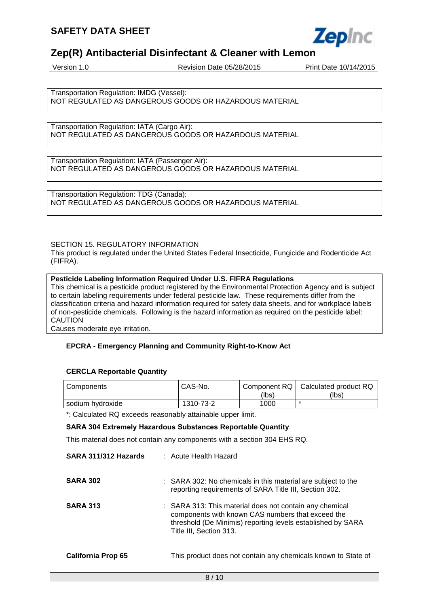

Version 1.0 Revision Date 05/28/2015 Print Date 10/14/2015

Transportation Regulation: IMDG (Vessel): NOT REGULATED AS DANGEROUS GOODS OR HAZARDOUS MATERIAL

Transportation Regulation: IATA (Cargo Air): NOT REGULATED AS DANGEROUS GOODS OR HAZARDOUS MATERIAL

Transportation Regulation: IATA (Passenger Air): NOT REGULATED AS DANGEROUS GOODS OR HAZARDOUS MATERIAL

Transportation Regulation: TDG (Canada): NOT REGULATED AS DANGEROUS GOODS OR HAZARDOUS MATERIAL

#### SECTION 15. REGULATORY INFORMATION

This product is regulated under the United States Federal Insecticide, Fungicide and Rodenticide Act (FIFRA).

#### **Pesticide Labeling Information Required Under U.S. FIFRA Regulations**

This chemical is a pesticide product registered by the Environmental Protection Agency and is subject to certain labeling requirements under federal pesticide law. These requirements differ from the classification criteria and hazard information required for safety data sheets, and for workplace labels of non-pesticide chemicals. Following is the hazard information as required on the pesticide label: CAUTION

Causes moderate eye irritation.

#### **EPCRA - Emergency Planning and Community Right-to-Know Act**

#### **CERCLA Reportable Quantity**

| I Components     | CAS-No.   | Component RQ | Calculated product RQ |
|------------------|-----------|--------------|-----------------------|
|                  |           | (lbs)        | (lbs)                 |
| sodium hydroxide | 1310-73-2 | 1000         | $\star$               |

\*: Calculated RQ exceeds reasonably attainable upper limit.

#### **SARA 304 Extremely Hazardous Substances Reportable Quantity**

This material does not contain any components with a section 304 EHS RQ.

| SARA 311/312 Hazards      | $\pm$ Acute Health Hazard                                                                                                                                                                              |
|---------------------------|--------------------------------------------------------------------------------------------------------------------------------------------------------------------------------------------------------|
| <b>SARA 302</b>           | : SARA 302: No chemicals in this material are subject to the<br>reporting requirements of SARA Title III, Section 302.                                                                                 |
| <b>SARA 313</b>           | : SARA 313: This material does not contain any chemical<br>components with known CAS numbers that exceed the<br>threshold (De Minimis) reporting levels established by SARA<br>Title III, Section 313. |
| <b>California Prop 65</b> | This product does not contain any chemicals known to State of                                                                                                                                          |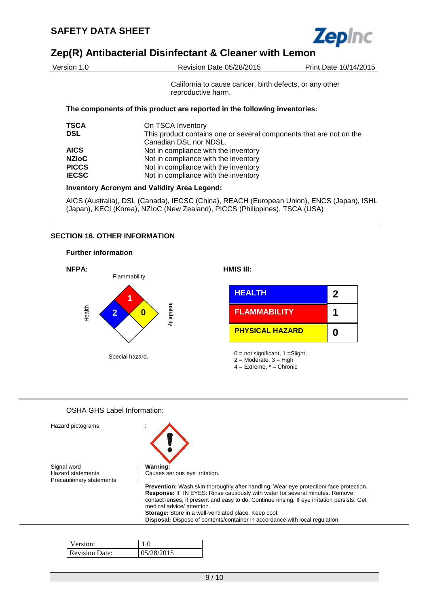

| Version 1.0  | <b>Revision Date 05/28/2015</b>                                                               | Print Date 10/14/2015 |
|--------------|-----------------------------------------------------------------------------------------------|-----------------------|
|              | California to cause cancer, birth defects, or any other<br>reproductive harm.                 |                       |
|              | The components of this product are reported in the following inventories:                     |                       |
| <b>TSCA</b>  | On TSCA Inventory                                                                             |                       |
| <b>DSL</b>   | This product contains one or several components that are not on the<br>Canadian DSL nor NDSL. |                       |
| <b>AICS</b>  | Not in compliance with the inventory                                                          |                       |
| <b>NZIOC</b> | Not in compliance with the inventory                                                          |                       |
| <b>PICCS</b> | Not in compliance with the inventory                                                          |                       |
| <b>IECSC</b> | Not in compliance with the inventory                                                          |                       |
|              | <b>Inventory Acronym and Validity Area Legend:</b>                                            |                       |

AICS (Australia), DSL (Canada), IECSC (China), REACH (European Union), ENCS (Japan), ISHL (Japan), KECI (Korea), NZIoC (New Zealand), PICCS (Philippines), TSCA (USA)

#### **SECTION 16. OTHER INFORMATION**





#### OSHA GHS Label Information:

| Hazard pictograms                                                   |                                                                                                                                                                                                                                                                                                             |
|---------------------------------------------------------------------|-------------------------------------------------------------------------------------------------------------------------------------------------------------------------------------------------------------------------------------------------------------------------------------------------------------|
| Signal word<br><b>Hazard statements</b><br>Precautionary statements | Warning:<br>Causes serious eye irritation.                                                                                                                                                                                                                                                                  |
|                                                                     | <b>Prevention:</b> Wash skin thoroughly after handling. Wear eye protection/face protection.<br>Response: IF IN EYES: Rinse cautiously with water for several minutes. Remove<br>contact lenses, if present and easy to do. Continue rinsing. If eye irritation persists: Get<br>medical advice/ attention. |
|                                                                     | Storage: Store in a well-ventilated place. Keep cool.<br>Disposal: Dispose of contents/container in accordance with local regulation.                                                                                                                                                                       |

| Version:              |           |
|-----------------------|-----------|
| <b>Revision Date:</b> | 5/28/2015 |